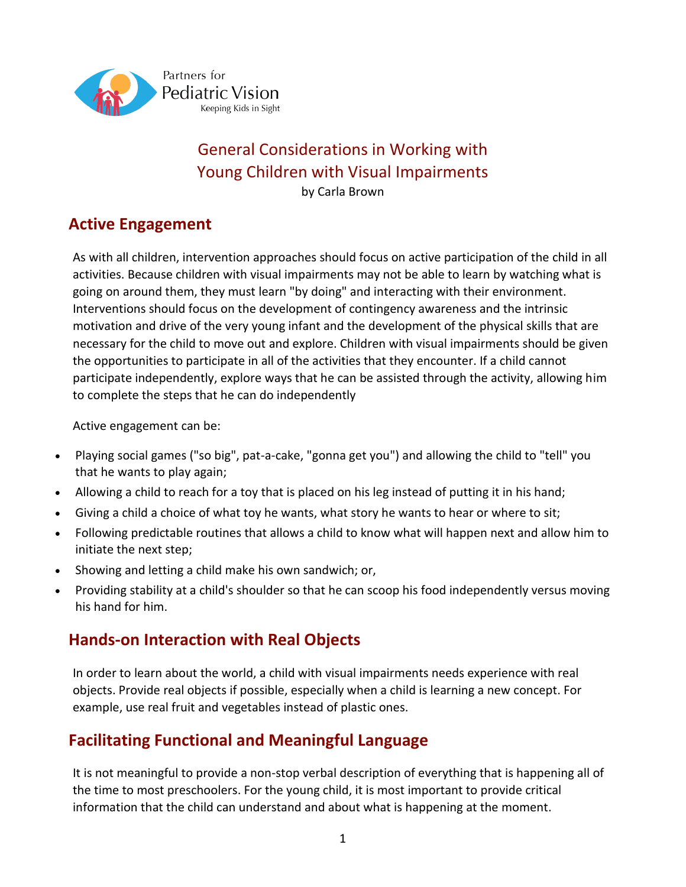

# General Considerations in Working with Young Children with Visual Impairments

by Carla Brown

# **Active Engagement**

As with all children, intervention approaches should focus on active participation of the child in all activities. Because children with visual impairments may not be able to learn by watching what is going on around them, they must learn "by doing" and interacting with their environment. Interventions should focus on the development of contingency awareness and the intrinsic motivation and drive of the very young infant and the development of the physical skills that are necessary for the child to move out and explore. Children with visual impairments should be given the opportunities to participate in all of the activities that they encounter. If a child cannot participate independently, explore ways that he can be assisted through the activity, allowing him to complete the steps that he can do independently

Active engagement can be:

- Playing social games ("so big", pat-a-cake, "gonna get you") and allowing the child to "tell" you that he wants to play again;
- Allowing a child to reach for a toy that is placed on his leg instead of putting it in his hand;
- Giving a child a choice of what toy he wants, what story he wants to hear or where to sit;
- Following predictable routines that allows a child to know what will happen next and allow him to initiate the next step;
- Showing and letting a child make his own sandwich; or,
- Providing stability at a child's shoulder so that he can scoop his food independently versus moving his hand for him.

# **Hands-on Interaction with Real Objects**

In order to learn about the world, a child with visual impairments needs experience with real objects. Provide real objects if possible, especially when a child is learning a new concept. For example, use real fruit and vegetables instead of plastic ones.

# **Facilitating Functional and Meaningful Language**

It is not meaningful to provide a non-stop verbal description of everything that is happening all of the time to most preschoolers. For the young child, it is most important to provide critical information that the child can understand and about what is happening at the moment.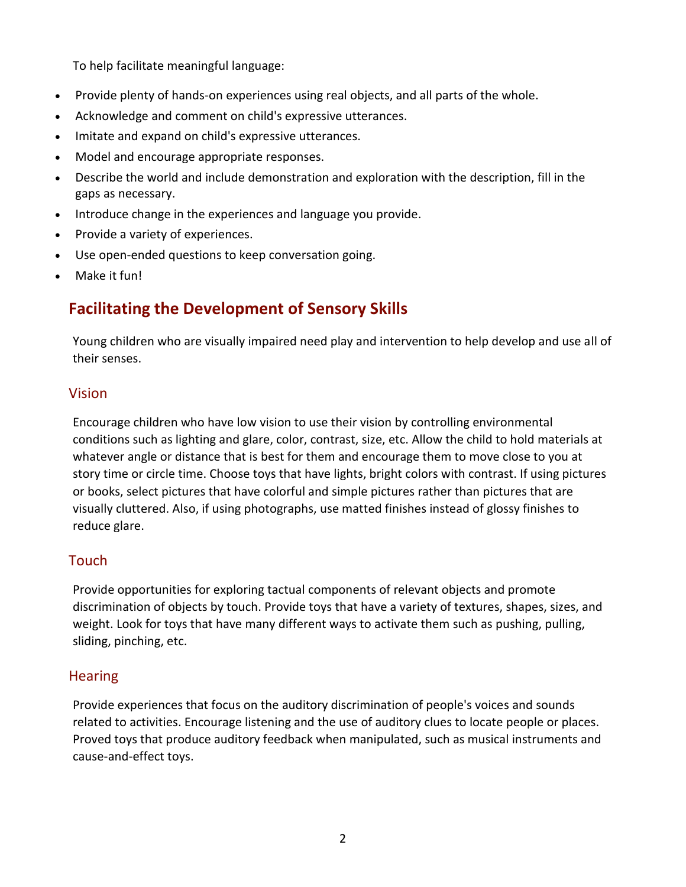To help facilitate meaningful language:

- Provide plenty of hands-on experiences using real objects, and all parts of the whole.
- Acknowledge and comment on child's expressive utterances.
- Imitate and expand on child's expressive utterances.
- Model and encourage appropriate responses.
- Describe the world and include demonstration and exploration with the description, fill in the gaps as necessary.
- Introduce change in the experiences and language you provide.
- Provide a variety of experiences.
- Use open-ended questions to keep conversation going.
- Make it fun!

# **Facilitating the Development of Sensory Skills**

Young children who are visually impaired need play and intervention to help develop and use all of their senses.

#### Vision

Encourage children who have low vision to use their vision by controlling environmental conditions such as lighting and glare, color, contrast, size, etc. Allow the child to hold materials at whatever angle or distance that is best for them and encourage them to move close to you at story time or circle time. Choose toys that have lights, bright colors with contrast. If using pictures or books, select pictures that have colorful and simple pictures rather than pictures that are visually cluttered. Also, if using photographs, use matted finishes instead of glossy finishes to reduce glare.

#### **Touch**

Provide opportunities for exploring tactual components of relevant objects and promote discrimination of objects by touch. Provide toys that have a variety of textures, shapes, sizes, and weight. Look for toys that have many different ways to activate them such as pushing, pulling, sliding, pinching, etc.

#### **Hearing**

Provide experiences that focus on the auditory discrimination of people's voices and sounds related to activities. Encourage listening and the use of auditory clues to locate people or places. Proved toys that produce auditory feedback when manipulated, such as musical instruments and cause-and-effect toys.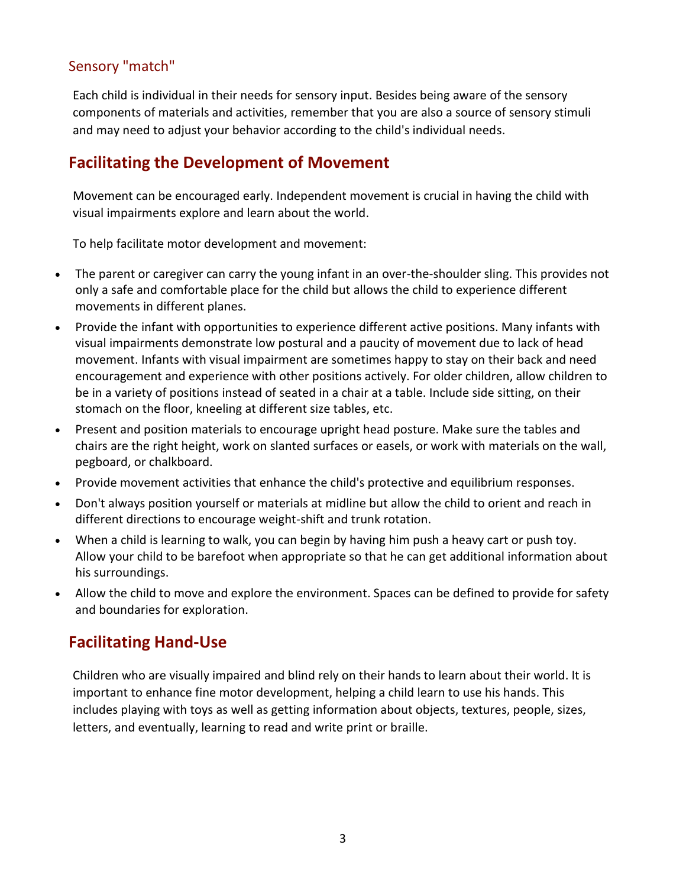#### Sensory "match"

Each child is individual in their needs for sensory input. Besides being aware of the sensory components of materials and activities, remember that you are also a source of sensory stimuli and may need to adjust your behavior according to the child's individual needs.

# **Facilitating the Development of Movement**

Movement can be encouraged early. Independent movement is crucial in having the child with visual impairments explore and learn about the world.

To help facilitate motor development and movement:

- The parent or caregiver can carry the young infant in an over-the-shoulder sling. This provides not only a safe and comfortable place for the child but allows the child to experience different movements in different planes.
- Provide the infant with opportunities to experience different active positions. Many infants with visual impairments demonstrate low postural and a paucity of movement due to lack of head movement. Infants with visual impairment are sometimes happy to stay on their back and need encouragement and experience with other positions actively. For older children, allow children to be in a variety of positions instead of seated in a chair at a table. Include side sitting, on their stomach on the floor, kneeling at different size tables, etc.
- Present and position materials to encourage upright head posture. Make sure the tables and chairs are the right height, work on slanted surfaces or easels, or work with materials on the wall, pegboard, or chalkboard.
- Provide movement activities that enhance the child's protective and equilibrium responses.
- Don't always position yourself or materials at midline but allow the child to orient and reach in different directions to encourage weight-shift and trunk rotation.
- When a child is learning to walk, you can begin by having him push a heavy cart or push toy. Allow your child to be barefoot when appropriate so that he can get additional information about his surroundings.
- Allow the child to move and explore the environment. Spaces can be defined to provide for safety and boundaries for exploration.

# **Facilitating Hand-Use**

Children who are visually impaired and blind rely on their hands to learn about their world. It is important to enhance fine motor development, helping a child learn to use his hands. This includes playing with toys as well as getting information about objects, textures, people, sizes, letters, and eventually, learning to read and write print or braille.